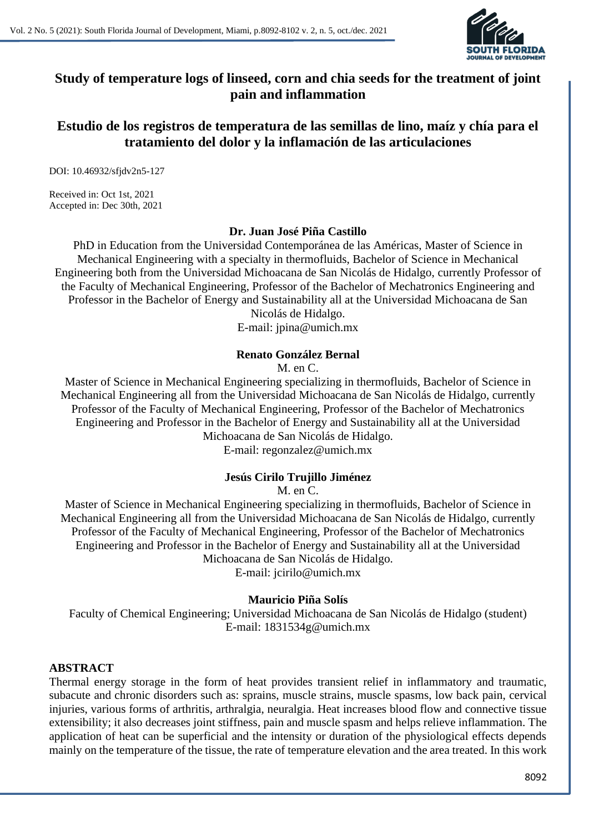**Study of temperature logs of linseed, corn and chia seeds for the treatment of joint pain and inflammation**

**Estudio de los registros de temperatura de las semillas de lino, maíz y chía para el tratamiento del dolor y la inflamación de las articulaciones**

DOI: 10.46932/sfjdv2n5-127

Received in: Oct 1st, 2021 Accepted in: Dec 30th, 2021

**Dr. Juan José Piña Castillo**

PhD in Education from the Universidad Contemporánea de las Américas, Master of Science in Mechanical Engineering with a specialty in thermofluids, Bachelor of Science in Mechanical Engineering both from the Universidad Michoacana de San Nicolás de Hidalgo, currently Professor of the Faculty of Mechanical Engineering, Professor of the Bachelor of Mechatronics Engineering and Professor in the Bachelor of Energy and Sustainability all at the Universidad Michoacana de San

Nicolás de Hidalgo. E-mail: jpina@umich.mx

#### **Renato González Bernal**

M. en C.

Master of Science in Mechanical Engineering specializing in thermofluids, Bachelor of Science in Mechanical Engineering all from the Universidad Michoacana de San Nicolás de Hidalgo, currently Professor of the Faculty of Mechanical Engineering, Professor of the Bachelor of Mechatronics Engineering and Professor in the Bachelor of Energy and Sustainability all at the Universidad Michoacana de San Nicolás de Hidalgo.

E-mail: regonzalez@umich.mx

## **Jesús Cirilo Trujillo Jiménez**

M. en C.

Master of Science in Mechanical Engineering specializing in thermofluids, Bachelor of Science in Mechanical Engineering all from the Universidad Michoacana de San Nicolás de Hidalgo, currently Professor of the Faculty of Mechanical Engineering, Professor of the Bachelor of Mechatronics Engineering and Professor in the Bachelor of Energy and Sustainability all at the Universidad Michoacana de San Nicolás de Hidalgo.

E-mail: jcirilo@umich.mx

#### **Mauricio Piña Solís**

Faculty of Chemical Engineering; Universidad Michoacana de San Nicolás de Hidalgo (student) E-mail: 1831534g@umich.mx

#### **ABSTRACT**

Thermal energy storage in the form of heat provides transient relief in inflammatory and traumatic, subacute and chronic disorders such as: sprains, muscle strains, muscle spasms, low back pain, cervical injuries, various forms of arthritis, arthralgia, neuralgia. Heat increases blood flow and connective tissue extensibility; it also decreases joint stiffness, pain and muscle spasm and helps relieve inflammation. The application of heat can be superficial and the intensity or duration of the physiological effects depends mainly on the temperature of the tissue, the rate of temperature elevation and the area treated. In this work

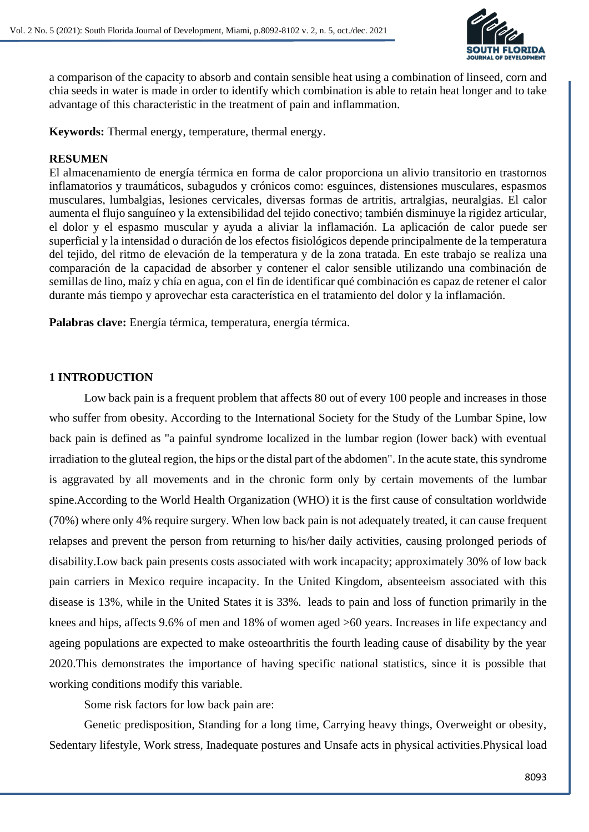

a comparison of the capacity to absorb and contain sensible heat using a combination of linseed, corn and chia seeds in water is made in order to identify which combination is able to retain heat longer and to take advantage of this characteristic in the treatment of pain and inflammation.

**Keywords:** Thermal energy, temperature, thermal energy.

# **RESUMEN**

El almacenamiento de energía térmica en forma de calor proporciona un alivio transitorio en trastornos inflamatorios y traumáticos, subagudos y crónicos como: esguinces, distensiones musculares, espasmos musculares, lumbalgias, lesiones cervicales, diversas formas de artritis, artralgias, neuralgias. El calor aumenta el flujo sanguíneo y la extensibilidad del tejido conectivo; también disminuye la rigidez articular, el dolor y el espasmo muscular y ayuda a aliviar la inflamación. La aplicación de calor puede ser superficial y la intensidad o duración de los efectos fisiológicos depende principalmente de la temperatura del tejido, del ritmo de elevación de la temperatura y de la zona tratada. En este trabajo se realiza una comparación de la capacidad de absorber y contener el calor sensible utilizando una combinación de semillas de lino, maíz y chía en agua, con el fin de identificar qué combinación es capaz de retener el calor durante más tiempo y aprovechar esta característica en el tratamiento del dolor y la inflamación.

**Palabras clave:** Energía térmica, temperatura, energía térmica.

# **1 INTRODUCTION**

Low back pain is a frequent problem that affects 80 out of every 100 people and increases in those who suffer from obesity. According to the International Society for the Study of the Lumbar Spine, low back pain is defined as "a painful syndrome localized in the lumbar region (lower back) with eventual irradiation to the gluteal region, the hips or the distal part of the abdomen". In the acute state, this syndrome is aggravated by all movements and in the chronic form only by certain movements of the lumbar spine.According to the World Health Organization (WHO) it is the first cause of consultation worldwide (70%) where only 4% require surgery. When low back pain is not adequately treated, it can cause frequent relapses and prevent the person from returning to his/her daily activities, causing prolonged periods of disability.Low back pain presents costs associated with work incapacity; approximately 30% of low back pain carriers in Mexico require incapacity. In the United Kingdom, absenteeism associated with this disease is 13%, while in the United States it is 33%. leads to pain and loss of function primarily in the knees and hips, affects 9.6% of men and 18% of women aged >60 years. Increases in life expectancy and ageing populations are expected to make osteoarthritis the fourth leading cause of disability by the year 2020.This demonstrates the importance of having specific national statistics, since it is possible that working conditions modify this variable.

Some risk factors for low back pain are:

Genetic predisposition, Standing for a long time, Carrying heavy things, Overweight or obesity, Sedentary lifestyle, Work stress, Inadequate postures and Unsafe acts in physical activities.Physical load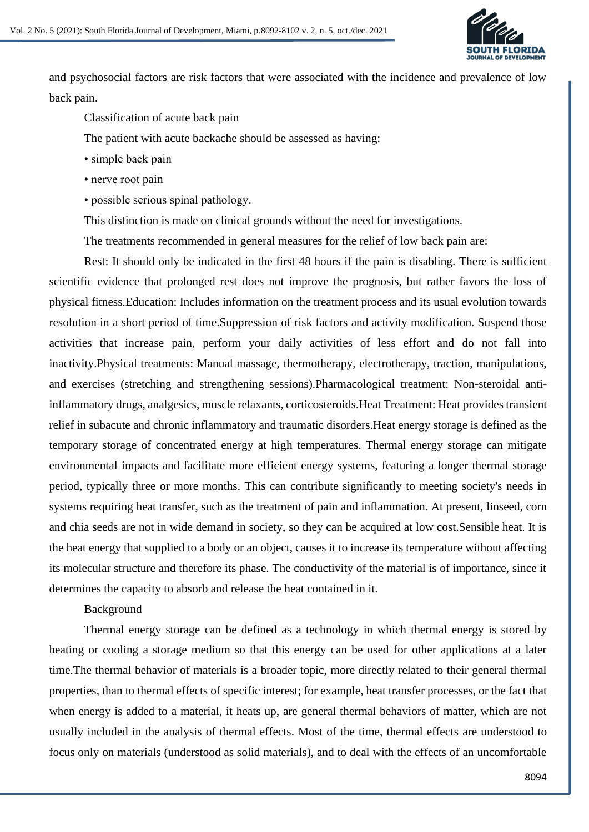

and psychosocial factors are risk factors that were associated with the incidence and prevalence of low back pain.

Classification of acute back pain

The patient with acute backache should be assessed as having:

- simple back pain
- nerve root pain
- possible serious spinal pathology.
- This distinction is made on clinical grounds without the need for investigations.

The treatments recommended in general measures for the relief of low back pain are:

Rest: It should only be indicated in the first 48 hours if the pain is disabling. There is sufficient scientific evidence that prolonged rest does not improve the prognosis, but rather favors the loss of physical fitness.Education: Includes information on the treatment process and its usual evolution towards resolution in a short period of time.Suppression of risk factors and activity modification. Suspend those activities that increase pain, perform your daily activities of less effort and do not fall into inactivity.Physical treatments: Manual massage, thermotherapy, electrotherapy, traction, manipulations, and exercises (stretching and strengthening sessions).Pharmacological treatment: Non-steroidal antiinflammatory drugs, analgesics, muscle relaxants, corticosteroids.Heat Treatment: Heat provides transient relief in subacute and chronic inflammatory and traumatic disorders.Heat energy storage is defined as the temporary storage of concentrated energy at high temperatures. Thermal energy storage can mitigate environmental impacts and facilitate more efficient energy systems, featuring a longer thermal storage period, typically three or more months. This can contribute significantly to meeting society's needs in systems requiring heat transfer, such as the treatment of pain and inflammation. At present, linseed, corn and chia seeds are not in wide demand in society, so they can be acquired at low cost.Sensible heat. It is the heat energy that supplied to a body or an object, causes it to increase its temperature without affecting its molecular structure and therefore its phase. The conductivity of the material is of importance, since it determines the capacity to absorb and release the heat contained in it.

Background

Thermal energy storage can be defined as a technology in which thermal energy is stored by heating or cooling a storage medium so that this energy can be used for other applications at a later time.The thermal behavior of materials is a broader topic, more directly related to their general thermal properties, than to thermal effects of specific interest; for example, heat transfer processes, or the fact that when energy is added to a material, it heats up, are general thermal behaviors of matter, which are not usually included in the analysis of thermal effects. Most of the time, thermal effects are understood to focus only on materials (understood as solid materials), and to deal with the effects of an uncomfortable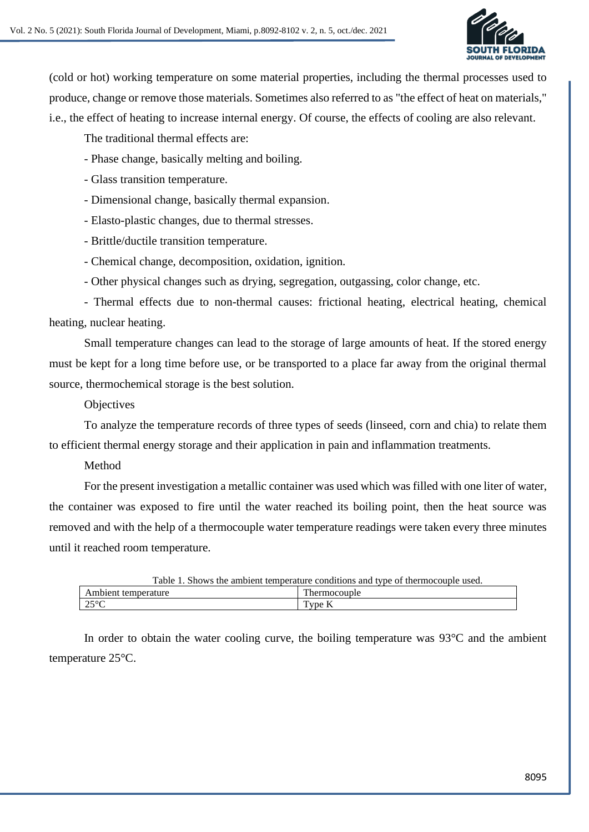

(cold or hot) working temperature on some material properties, including the thermal processes used to produce, change or remove those materials. Sometimes also referred to as "the effect of heat on materials," i.e., the effect of heating to increase internal energy. Of course, the effects of cooling are also relevant.

The traditional thermal effects are:

- Phase change, basically melting and boiling.
- Glass transition temperature.
- Dimensional change, basically thermal expansion.
- Elasto-plastic changes, due to thermal stresses.
- Brittle/ductile transition temperature.
- Chemical change, decomposition, oxidation, ignition.
- Other physical changes such as drying, segregation, outgassing, color change, etc.

- Thermal effects due to non-thermal causes: frictional heating, electrical heating, chemical heating, nuclear heating.

Small temperature changes can lead to the storage of large amounts of heat. If the stored energy must be kept for a long time before use, or be transported to a place far away from the original thermal source, thermochemical storage is the best solution.

## **Objectives**

To analyze the temperature records of three types of seeds (linseed, corn and chia) to relate them to efficient thermal energy storage and their application in pain and inflammation treatments.

## Method

For the present investigation a metallic container was used which was filled with one liter of water, the container was exposed to fire until the water reached its boiling point, then the heat source was removed and with the help of a thermocouple water temperature readings were taken every three minutes until it reached room temperature.

| Table 1. Shows the ambient temperature conditions and type of thermocouple used. |              |  |  |
|----------------------------------------------------------------------------------|--------------|--|--|
| Ambient temperature                                                              | Thermocouple |  |  |
| $-25^{\circ}$ C                                                                  | Type K       |  |  |

In order to obtain the water cooling curve, the boiling temperature was  $93^{\circ}$ C and the ambient temperature 25°C.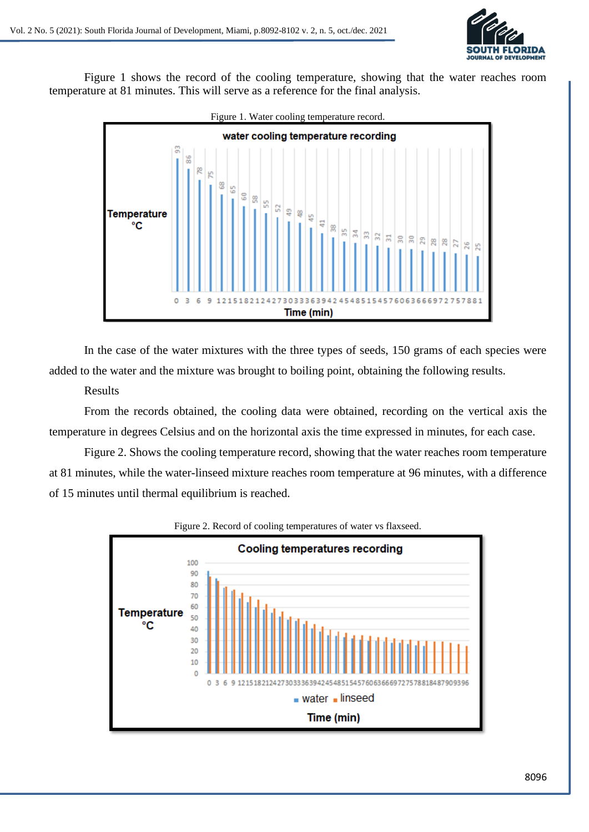

Figure 1 shows the record of the cooling temperature, showing that the water reaches room temperature at 81 minutes. This will serve as a reference for the final analysis.



In the case of the water mixtures with the three types of seeds, 150 grams of each species were added to the water and the mixture was brought to boiling point, obtaining the following results.

# Results

From the records obtained, the cooling data were obtained, recording on the vertical axis the temperature in degrees Celsius and on the horizontal axis the time expressed in minutes, for each case.

Figure 2. Shows the cooling temperature record, showing that the water reaches room temperature at 81 minutes, while the water-linseed mixture reaches room temperature at 96 minutes, with a difference of 15 minutes until thermal equilibrium is reached.



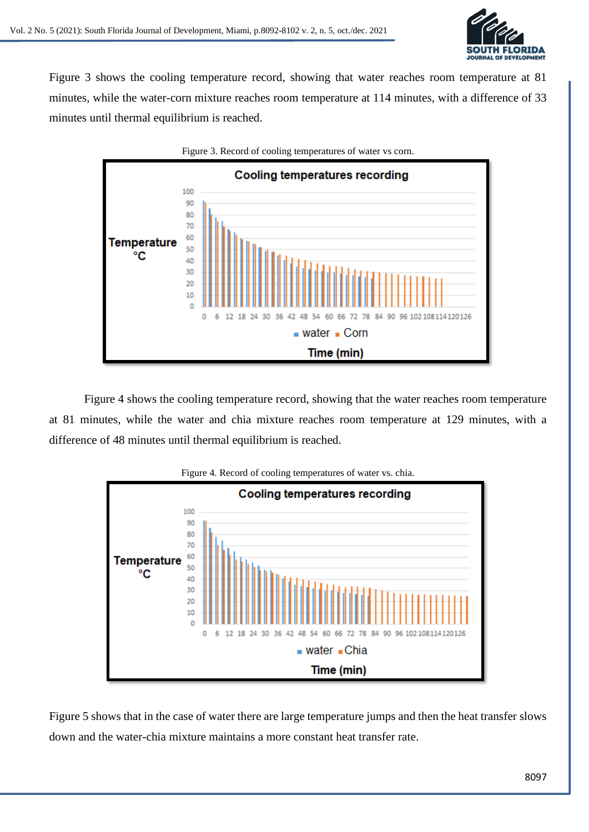

Figure 3 shows the cooling temperature record, showing that water reaches room temperature at 81 minutes, while the water-corn mixture reaches room temperature at 114 minutes, with a difference of 33 minutes until thermal equilibrium is reached.



Figure 4 shows the cooling temperature record, showing that the water reaches room temperature at 81 minutes, while the water and chia mixture reaches room temperature at 129 minutes, with a difference of 48 minutes until thermal equilibrium is reached.



Figure 5 shows that in the case of water there are large temperature jumps and then the heat transfer slows down and the water-chia mixture maintains a more constant heat transfer rate.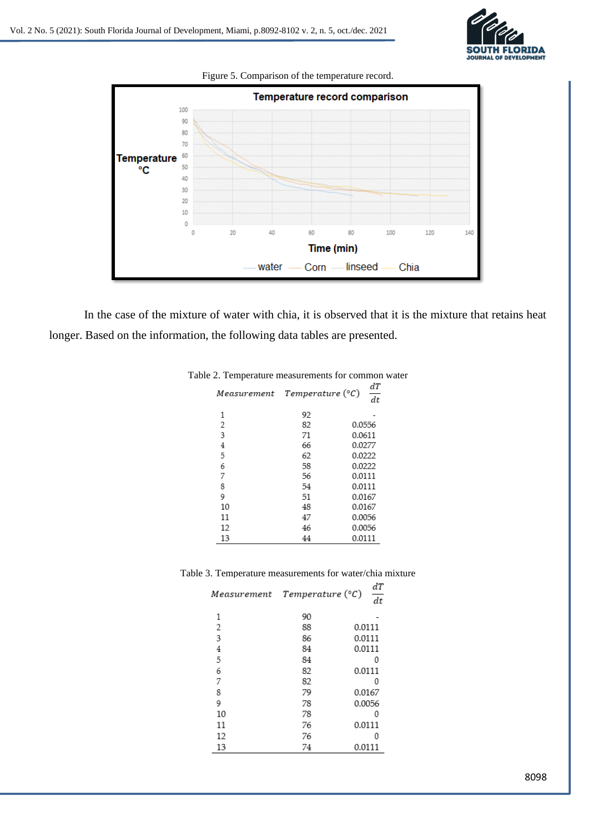



In the case of the mixture of water with chia, it is observed that it is the mixture that retains heat longer. Based on the information, the following data tables are presented.

| e 2. Temperature measurements for common |                  |          |
|------------------------------------------|------------------|----------|
| Measurement                              | Temperature (°C) | dТ<br>dt |
| 1                                        | 92               |          |
| 2                                        | 82               | 0.0556   |
| 3                                        | 71               | 0.0611   |
| 4                                        | 66               | 0.0277   |
| 5                                        | 62               | 0.0222   |
| 6                                        | 58               | 0.0222   |
| 7                                        | 56               | 0.0111   |
| 8                                        | 54               | 0.0111   |
| 9                                        | 51               | 0.0167   |
| 10                                       | 48               | 0.0167   |
| 11                                       | 47               | 0.0056   |
| 12                                       | 46               | 0.0056   |
| 13                                       | 44               | 0.0111   |
|                                          |                  |          |

## Table 2. Temperature measurements for common water

Table 3. Temperature measurements for water/chia mixture

| Measurement | Temperature (°C) | dТ<br>dt |
|-------------|------------------|----------|
| 1           | 90               |          |
| 2           | 88               | 0.0111   |
| 3           | 86               | 0.0111   |
| 4           | 84               | 0.0111   |
| 5           | 84               | 0        |
| 6           | 82               | 0.0111   |
| 7           | 82               | 0        |
| 8           | 79               | 0.0167   |
| 9           | 78               | 0.0056   |
| 10          | 78               | 0        |
| 11          | 76               | 0.0111   |
| 12          | 76               | 0        |
| 13          | 74               | 0.0111   |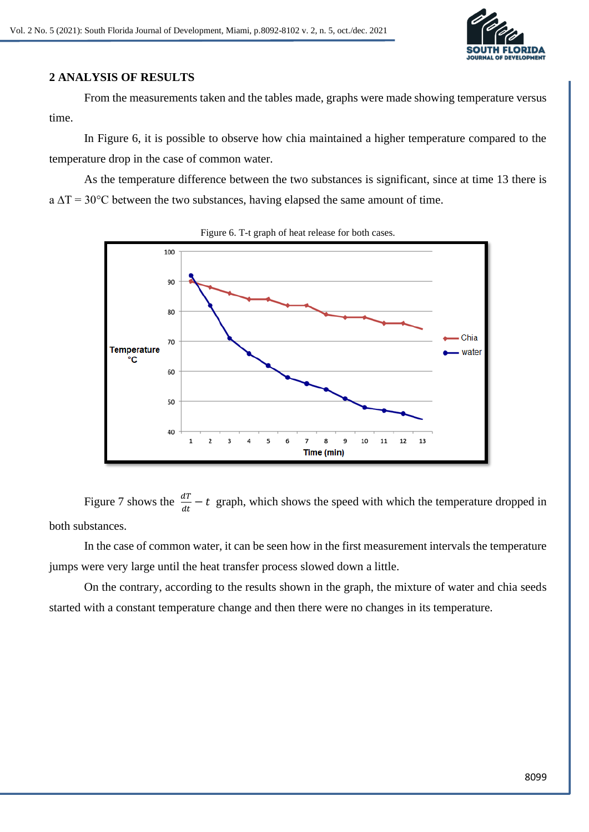

# **2 ANALYSIS OF RESULTS**

From the measurements taken and the tables made, graphs were made showing temperature versus time.

In Figure 6, it is possible to observe how chia maintained a higher temperature compared to the temperature drop in the case of common water.

As the temperature difference between the two substances is significant, since at time 13 there is  $a \Delta T = 30^{\circ}$ C between the two substances, having elapsed the same amount of time.



Figure 6. T-t graph of heat release for both cases.

Figure 7 shows the  $\frac{dT}{dt} - t$  graph, which shows the speed with which the temperature dropped in both substances.

In the case of common water, it can be seen how in the first measurement intervals the temperature jumps were very large until the heat transfer process slowed down a little.

On the contrary, according to the results shown in the graph, the mixture of water and chia seeds started with a constant temperature change and then there were no changes in its temperature.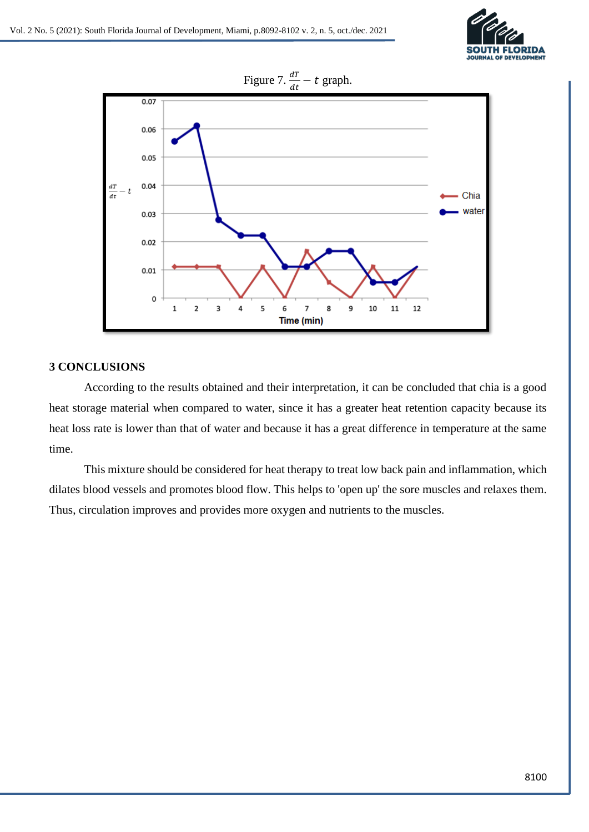



## **3 CONCLUSIONS**

According to the results obtained and their interpretation, it can be concluded that chia is a good heat storage material when compared to water, since it has a greater heat retention capacity because its heat loss rate is lower than that of water and because it has a great difference in temperature at the same time.

This mixture should be considered for heat therapy to treat low back pain and inflammation, which dilates blood vessels and promotes blood flow. This helps to 'open up' the sore muscles and relaxes them. Thus, circulation improves and provides more oxygen and nutrients to the muscles.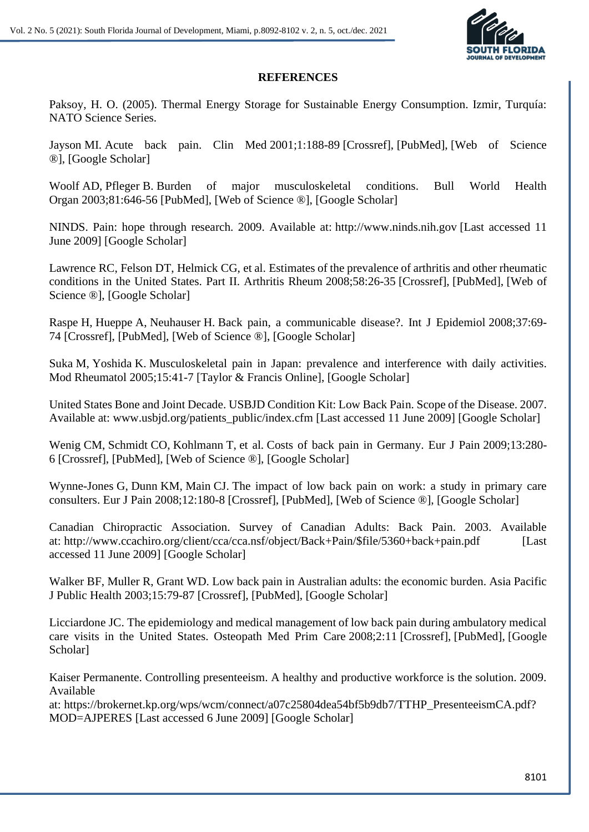

### **REFERENCES**

Paksoy, H. O. (2005). Thermal Energy Storage for Sustainable Energy Consumption. Izmir, Turquía: NATO Science Series.

Jayson MI. Acute back pain. Clin Med 2001;1:188-89 [Crossref], [PubMed], [Web of Science ®], [Google Scholar]

Woolf AD, Pfleger B. Burden of major musculoskeletal conditions. Bull World Health Organ 2003;81:646-56 [PubMed], [Web of Science ®], [Google Scholar]

NINDS. Pain: hope through research. 2009. Available at: http://www.ninds.nih.gov [Last accessed 11 June 2009] [Google Scholar]

Lawrence RC, Felson DT, Helmick CG, et al. Estimates of the prevalence of arthritis and other rheumatic conditions in the United States. Part II. Arthritis Rheum 2008;58:26-35 [Crossref], [PubMed], [Web of Science ®], [Google Scholar]

Raspe H, Hueppe A, Neuhauser H. Back pain, a communicable disease?. Int J Epidemiol 2008;37:69- 74 [Crossref], [PubMed], [Web of Science ®], [Google Scholar]

Suka M, Yoshida K. Musculoskeletal pain in Japan: prevalence and interference with daily activities. Mod Rheumatol 2005;15:41-7 [Taylor & Francis Online], [Google Scholar]

United States Bone and Joint Decade. USBJD Condition Kit: Low Back Pain. Scope of the Disease. 2007. Available at: www.usbjd.org/patients\_public/index.cfm [Last accessed 11 June 2009] [Google Scholar]

Wenig CM, Schmidt CO, Kohlmann T, et al. Costs of back pain in Germany. Eur J Pain 2009;13:280- 6 [Crossref], [PubMed], [Web of Science ®], [Google Scholar]

Wynne-Jones G, Dunn KM, Main CJ. The impact of low back pain on work: a study in primary care consulters. Eur J Pain 2008;12:180-8 [Crossref], [PubMed], [Web of Science ®], [Google Scholar]

Canadian Chiropractic Association. Survey of Canadian Adults: Back Pain. 2003. Available at: http://www.ccachiro.org/client/cca/cca.nsf/object/Back+Pain/\$file/5360+back+pain.pdf [Last] accessed 11 June 2009] [Google Scholar]

Walker BF, Muller R, Grant WD. Low back pain in Australian adults: the economic burden. Asia Pacific J Public Health 2003;15:79-87 [Crossref], [PubMed], [Google Scholar]

Licciardone JC. The epidemiology and medical management of low back pain during ambulatory medical care visits in the United States. Osteopath Med Prim Care 2008;2:11 [Crossref], [PubMed], [Google Scholar]

Kaiser Permanente. Controlling presenteeism. A healthy and productive workforce is the solution. 2009. Available

at: https://brokernet.kp.org/wps/wcm/connect/a07c25804dea54bf5b9db7/TTHP\_PresenteeismCA.pdf? MOD=AJPERES [Last accessed 6 June 2009] [Google Scholar]